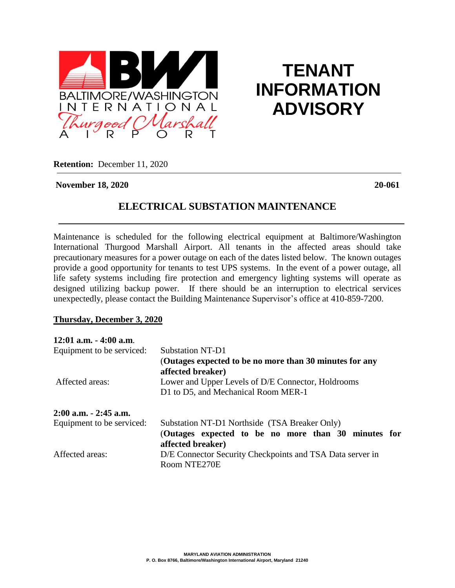

# **TENANT INFORMATION ADVISORY**

**Retention:** December 11, 2020

#### **November 18, 2020 20-061**

## **ELECTRICAL SUBSTATION MAINTENANCE**

Maintenance is scheduled for the following electrical equipment at Baltimore/Washington International Thurgood Marshall Airport. All tenants in the affected areas should take precautionary measures for a power outage on each of the dates listed below. The known outages provide a good opportunity for tenants to test UPS systems. In the event of a power outage, all life safety systems including fire protection and emergency lighting systems will operate as designed utilizing backup power. If there should be an interruption to electrical services unexpectedly, please contact the Building Maintenance Supervisor's office at 410-859-7200.

## **Thursday, December 3, 2020**

| 12:01 a.m. - 4:00 a.m.    |                                                                                           |
|---------------------------|-------------------------------------------------------------------------------------------|
| Equipment to be serviced: | Substation NT-D1                                                                          |
|                           | (Outages expected to be no more than 30 minutes for any<br>affected breaker)              |
| Affected areas:           | Lower and Upper Levels of D/E Connector, Holdrooms<br>D1 to D5, and Mechanical Room MER-1 |
| 2:00 a.m. - 2:45 a.m.     |                                                                                           |
| Equipment to be serviced: | Substation NT-D1 Northside (TSA Breaker Only)                                             |
|                           | (Outages expected to be no more than 30 minutes for                                       |
|                           | affected breaker)                                                                         |
| Affected areas:           | D/E Connector Security Checkpoints and TSA Data server in                                 |
|                           | Room NTE270E                                                                              |